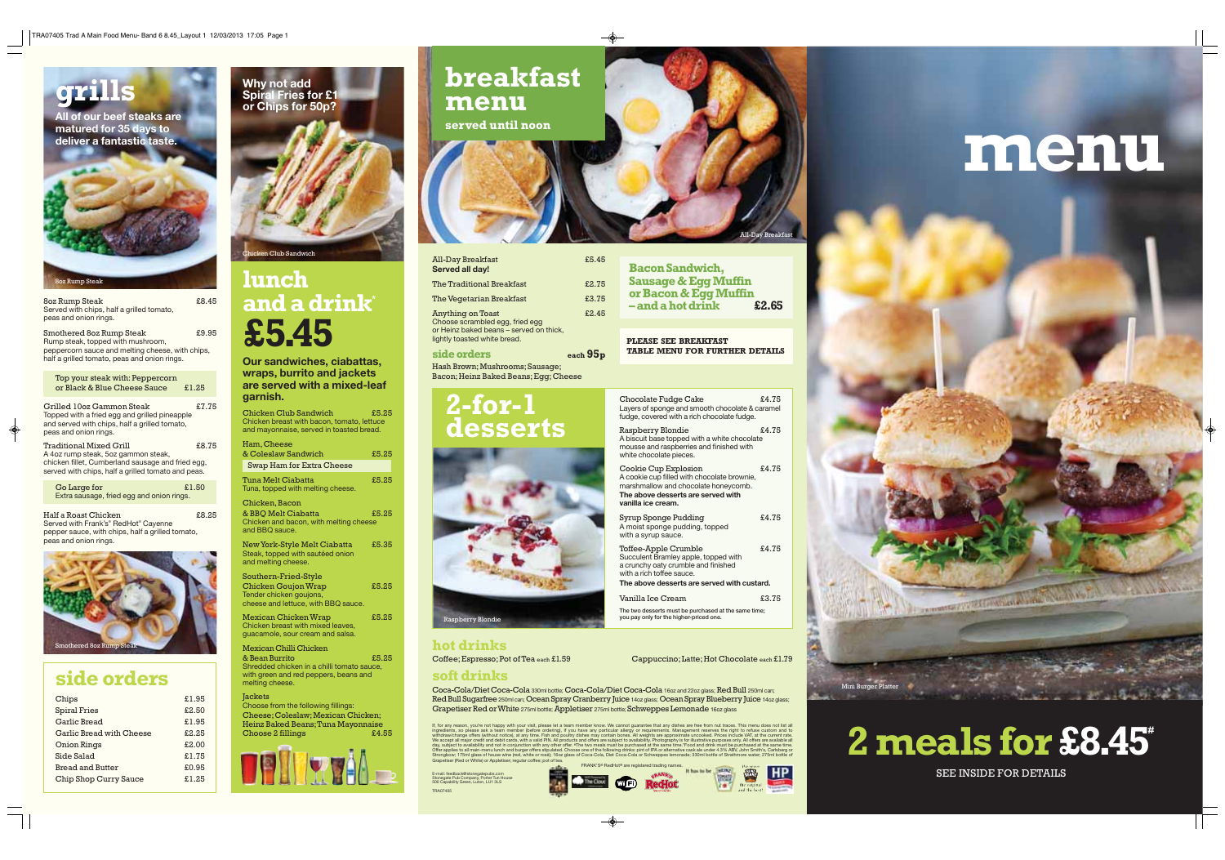

# **lunch and a drink\* £5.45**

en Club Sandwich

**Our sandwiches, ciabattas, wraps, burrito and jackets are served with a mixed-leaf garnish.**

Chicken Club Sandwich £5.25 Chicken breast with bacon, tomato, lettuce and mayonnaise, served in toasted bread.

| Ham, Cheese                                             |       |
|---------------------------------------------------------|-------|
| & Coleslaw Sandwich                                     | £5.25 |
| Swap Ham for Extra Cheese                               |       |
| Tuna Melt Ciabatta<br>Tuna, topped with melting cheese. | £5.25 |

Mexican Chicken Wrap  $f5.25$ Chicken breast with mixed leaves, guacamole, sour cream and salsa.

Chicken, Bacon & BBQ Melt Ciabatta £5.25 Chicken and bacon, with melting cheese and BBQ sauce.

New York-Style Melt Ciabatta £5.35 Steak, topped with sautéed onion and melting cheese.

Southern-Fried-Style Chicken Goujon Wrap **£5.25** Tender chicken goujons, cheese and lettuce, with BBQ sauce.

Go Large for  $\qquad \qquad \text{£}1.50$ Extra sausage, fried egg and onion rings.

Half a Roast Chicken **£8.25** Served with Frank's® RedHot® Cayenne pepper sauce, with chips, half a grilled tomato, peas and onion rings.

> Mexican Chilli Chicken & Bean Burrito £5.25 Shredded chicken in a chilli tomato sauce, with green and red peppers, beans and melting cheese.

> **Jackets** Choose from the following fillings: Cheese; Coleslaw; Mexican Chicken; Heinz Baked Beans; Tuna Mayonnaise<br>Choose 2 fillings f4.55 Choose 2 fillings



Smothered 8oz Rump Steak  $£9.95$ Rump steak, topped with mushroom, peppercorn sauce and melting cheese, with chips, half a grilled tomato, peas and onion rings.

| Top your steak with: Peppercorn<br>or Black & Blue Cheese Sauce                                                                                                                  | £1.25 |
|----------------------------------------------------------------------------------------------------------------------------------------------------------------------------------|-------|
| Grilled 10oz Gammon Steak<br>Topped with a fried egg and grilled pineapple<br>and served with chips, half a grilled tomato,<br>peas and onion rings.                             | £7.75 |
| <b>Traditional Mixed Grill</b><br>A 4oz rump steak, 5oz gammon steak,<br>chicken fillet, Cumberland sausage and fried egg,<br>served with chips, half a grilled tomato and peas. | £8.75 |

8oz Rump Steak £8.45 Served with chips, half a grilled tomato, peas and onion rings.

> If, for any reason, you're not happy with your visit, please let a team member know. We cannot guarantee that any dishes are free from nut traces. This menu does not list all<br>ingredients, so please ask a team member (befor Strongbow; 175ml glass of house wine (red, white or rosé); 16oz glass of Coca-Cola, Diet Coca-Cola or Schweppes lemonade; 330ml bottle of Strathmore water; 275ml bottle of Grapetiser (Red or White) or Appletiser; regular coffee; pot of tea.

FRANK'S® RedHot® are registered trading names. Incom WIFI Red Iot

#### Chocolate Fudge Cake  $\epsilon$ 4.75 Layers of sponge and smooth chocolate & caramel fudge, covered with a rich chocolate fudge.

Raspberry Blondie  $£4.75$ A biscuit base topped with a white chocolate mousse and raspberries and finished with white chocolate pieces.



Cookie Cup Explosion  $£4.75$ A cookie cup filled with chocolate brownie, marshmallow and chocolate honeycomb. **The above desserts are served with vanilla ice cream.**

Syrup Sponge Pudding  $£4.75$ A moist sponge pudding, topped with a syrup sauce.



#### **side orders**

Toffee-Apple Crumble  $£4.75$ Succulent Bramley apple, topped with a crunchy oaty crumble and finished with a rich toffee sauce. **The above desserts are served with custard.**

| Chips                    | £1.95 |
|--------------------------|-------|
| <b>Spiral Fries</b>      | £2.50 |
| Garlic Bread             | £1.95 |
| Garlic Bread with Cheese | £2.25 |
| Onion Rings              | £2.00 |
| Side Salad               | £1.75 |
| <b>Bread and Butter</b>  | £0.95 |
| Chip Shop Curry Sauce    | £1.25 |
|                          |       |

**Bacon Sandwich, Sausage & Egg Muffin or Bacon & Egg Muffin**   $-$ and a hot drink

Coffee; Espresso; Pot of Tea each £1.59 Cappuccino; Latte; Hot Chocolate each £1.79 **hot drinks**

Coca-Cola/Diet Coca-Cola 330ml bottle; Coca-Cola/Diet Coca-Cola 16oz and 22oz glass; Red Bull 250ml can; Red Bull Sugarfree 250ml can; Ocean Spray Cranberry Juice 14oz glass; Ocean Spray Blueberry Juice 14oz glass; Grapetiser Red or White 275ml bottle; Appletiser 275ml bottle; Schweppes Lemonade 16oz glass

# **breakfast menu served until noon**

 $\overline{\bullet}$ 

Vanilla Ice Cream £3.75

The two desserts must be purchased at the same time; you pay only for the higher-priced one.

E-mail: feedback@stonegatepubs.com Stonegate Pub Company, Porter Tun House 500 Capability Green, Luton, LU1 3LS

TRA07405

| <b>All-Day Breakfast</b><br><b>Served all day!</b>                                                                                     | £5.45 |
|----------------------------------------------------------------------------------------------------------------------------------------|-------|
| The Traditional Breakfast                                                                                                              | £2.75 |
| The Vegetarian Breakfast                                                                                                               | £3.75 |
| <b>Anything on Toast</b><br>Choose scrambled egg, fried egg<br>or Heinz baked beans - served on thick,<br>lightly toasted white bread. | £2.45 |
| المتحام المتحامل والمكتب                                                                                                               |       |

**side orders each 95p** Hash Brown; Mushrooms; Sausage; Bacon; Heinz Baked Beans; Egg; Cheese

**PLEASE SEE BREAKFAST TABLE MENU FOR FURTHER DETAILS**

## **2-for-1 desserts**



Raspberry Blondie





#### **soft drinks**



Mini Burger Platter



The Commission of the Commission of the Commission